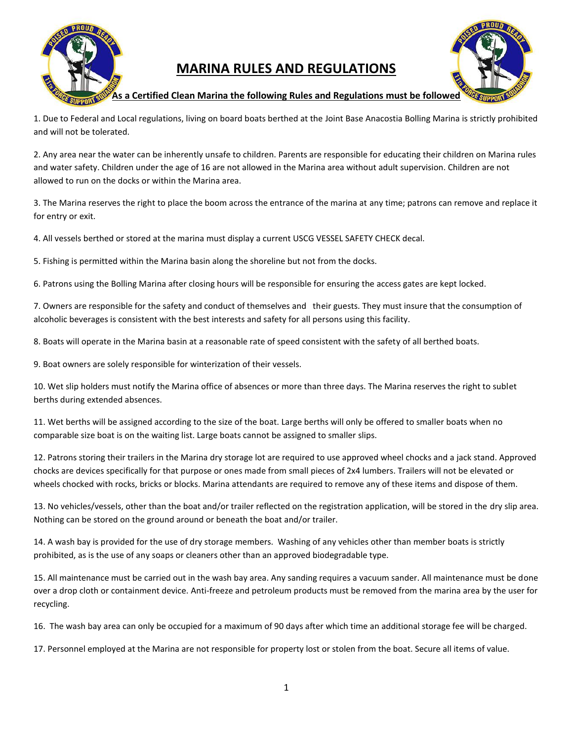

## **MARINA RULES AND REGULATIONS**



**As a Certified Clean Marina the following Rules and Regulations must be followed**

1. Due to Federal and Local regulations, living on board boats berthed at the Joint Base Anacostia Bolling Marina is strictly prohibited and will not be tolerated.

2. Any area near the water can be inherently unsafe to children. Parents are responsible for educating their children on Marina rules and water safety. Children under the age of 16 are not allowed in the Marina area without adult supervision. Children are not allowed to run on the docks or within the Marina area.

3. The Marina reserves the right to place the boom across the entrance of the marina at any time; patrons can remove and replace it for entry or exit.

4. All vessels berthed or stored at the marina must display a current USCG VESSEL SAFETY CHECK decal.

5. Fishing is permitted within the Marina basin along the shoreline but not from the docks.

6. Patrons using the Bolling Marina after closing hours will be responsible for ensuring the access gates are kept locked.

7. Owners are responsible for the safety and conduct of themselves and their guests. They must insure that the consumption of alcoholic beverages is consistent with the best interests and safety for all persons using this facility.

8. Boats will operate in the Marina basin at a reasonable rate of speed consistent with the safety of all berthed boats.

9. Boat owners are solely responsible for winterization of their vessels.

10. Wet slip holders must notify the Marina office of absences or more than three days. The Marina reserves the right to sublet berths during extended absences.

11. Wet berths will be assigned according to the size of the boat. Large berths will only be offered to smaller boats when no comparable size boat is on the waiting list. Large boats cannot be assigned to smaller slips.

12. Patrons storing their trailers in the Marina dry storage lot are required to use approved wheel chocks and a jack stand. Approved chocks are devices specifically for that purpose or ones made from small pieces of 2x4 lumbers. Trailers will not be elevated or wheels chocked with rocks, bricks or blocks. Marina attendants are required to remove any of these items and dispose of them.

13. No vehicles/vessels, other than the boat and/or trailer reflected on the registration application, will be stored in the dry slip area. Nothing can be stored on the ground around or beneath the boat and/or trailer.

14. A wash bay is provided for the use of dry storage members. Washing of any vehicles other than member boats is strictly prohibited, as is the use of any soaps or cleaners other than an approved biodegradable type.

15. All maintenance must be carried out in the wash bay area. Any sanding requires a vacuum sander. All maintenance must be done over a drop cloth or containment device. Anti-freeze and petroleum products must be removed from the marina area by the user for recycling.

16. The wash bay area can only be occupied for a maximum of 90 days after which time an additional storage fee will be charged.

17. Personnel employed at the Marina are not responsible for property lost or stolen from the boat. Secure all items of value.